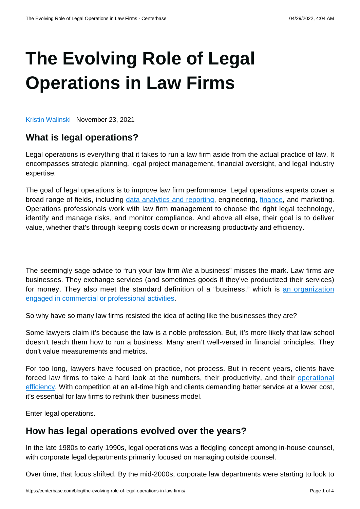# **[The Evolving Role of Legal](https://centerbase.com/blog/the-evolving-role-of-legal-operations-in-law-firms/) [Operations in Law Firms](https://centerbase.com/blog/the-evolving-role-of-legal-operations-in-law-firms/)**

[Kristin Walinski](https://centerbase.com/blog/author/marketingcenterbase-com/) November 23, 2021

## **What is legal operations?**

Legal operations is everything that it takes to run a law firm aside from the actual practice of law. It encompasses strategic planning, legal project management, financial oversight, and legal industry expertise.

The goal of legal operations is to improve law firm performance. Legal operations experts cover a broad range of fields, including [data analytics and reporting](https://centerbase.com/blog/give-your-law-firm-a-competitive-edge-with-legal-analytics-and-reporting/), engineering, [finance,](https://centerbase.com/blog/the-complete-guide-to-your-law-firms-finances/) and marketing. Operations professionals work with law firm management to choose the right legal technology, identify and manage risks, and monitor compliance. And above all else, their goal is to deliver value, whether that's through keeping costs down or increasing productivity and efficiency.

The seemingly sage advice to "run your law firm like a business" misses the mark. Law firms are businesses. They exchange services (and sometimes goods if they've productized their services) for money. They also meet the standard definition of a "business," which is [an organization](https://www.investopedia.com/terms/b/business.asp) [engaged in commercial or professional activities](https://www.investopedia.com/terms/b/business.asp).

So why have so many law firms resisted the idea of acting like the businesses they are?

Some lawyers claim it's because the law is a noble profession. But, it's more likely that law school doesn't teach them how to run a business. Many aren't well-versed in financial principles. They don't value measurements and metrics.

For too long, lawyers have focused on practice, not process. But in recent years, clients have forced law firms to take a hard look at the numbers, their productivity, and their [operational](https://centerbase.com/blog/increase-your-law-firms-operational-efficiency-with-these-important-tips/) [efficiency.](https://centerbase.com/blog/increase-your-law-firms-operational-efficiency-with-these-important-tips/) With competition at an all-time high and clients demanding better service at a lower cost, it's essential for law firms to rethink their business model.

Enter legal operations.

### **How has legal operations evolved over the years?**

In the late 1980s to early 1990s, legal operations was a fledgling concept among in-house counsel, with corporate legal departments primarily focused on managing outside counsel.

Over time, that focus shifted. By the mid-2000s, corporate law departments were starting to look to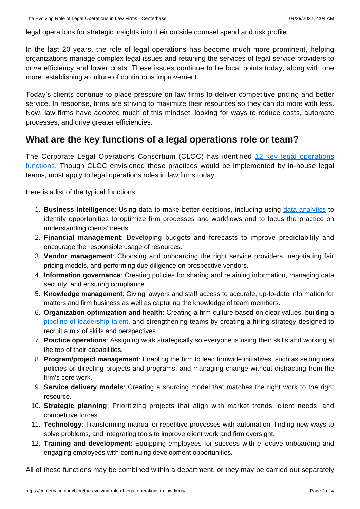legal operations for strategic insights into their outside counsel spend and risk profile.

In the last 20 years, the role of legal operations has become much more prominent, helping organizations manage complex legal issues and retaining the services of legal service providers to drive efficiency and lower costs. These issues continue to be focal points today, along with one more: establishing a culture of continuous improvement.

Today's clients continue to place pressure on law firms to deliver competitive pricing and better service. In response, firms are striving to maximize their resources so they can do more with less. Now, law firms have adopted much of this mindset, looking for ways to reduce costs, automate processes, and drive greater efficiencies.

### **What are the key functions of a legal operations role or team?**

The Corporate Legal Operations Consortium (CLOC) has identified [12 key legal operations](https://cloc.org/what-is-legal-operations/) [functions.](https://cloc.org/what-is-legal-operations/) Though CLOC envisioned these practices would be implemented by in-house legal teams, most apply to legal operations roles in law firms today.

Here is a list of the typical functions:

- 1. **Business intelligence**: Using data to make better decisions, including using [data analytics](https://centerbase.com/blog/3-trends-currently-shaping-legal-operations/) to identify opportunities to optimize firm processes and workflows and to focus the practice on understanding clients' needs.
- 2. **Financial management**: Developing budgets and forecasts to improve predictability and encourage the responsible usage of resources.
- 3. **Vendor management**: Choosing and onboarding the right service providers, negotiating fair pricing models, and performing due diligence on prospective vendors.
- 4. **Information governance**: Creating policies for sharing and retaining information, managing data security, and ensuring compliance.
- 5. **Knowledge management**: Giving lawyers and staff access to accurate, up-to-date information for matters and firm business as well as capturing the knowledge of team members.
- 6. **Organization optimization and health**: Creating a firm culture based on clear values, building a [pipeline of leadership talent](https://centerbase.com/blog/why-your-law-firm-needs-a-succession-plan-and-how-legal-tech-can-help/), and strengthening teams by creating a hiring strategy designed to recruit a mix of skills and perspectives.
- 7. **Practice operations**: Assigning work strategically so everyone is using their skills and working at the top of their capabilities.
- 8. **Program/project management**: Enabling the firm to lead firmwide initiatives, such as setting new policies or directing projects and programs, and managing change without distracting from the firm's core work.
- 9. **Service delivery models**: Creating a sourcing model that matches the right work to the right resource.
- 10. **Strategic planning**: Prioritizing projects that align with market trends, client needs, and competitive forces.
- 11. **Technology**: Transforming manual or repetitive processes with automation, finding new ways to solve problems, and integrating tools to improve client work and firm oversight.
- 12. **Training and development**: Equipping employees for success with effective onboarding and engaging employees with continuing development opportunities.

All of these functions may be combined within a department, or they may be carried out separately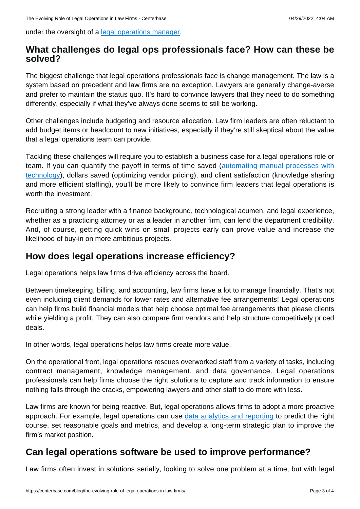under the oversight of a [legal operations manager](https://centerbase.com/blog/what-is-a-legal-operations-manager/).

#### **What challenges do legal ops professionals face? How can these be solved?**

The biggest challenge that legal operations professionals face is change management. The law is a system based on precedent and law firms are no exception. Lawyers are generally change-averse and prefer to maintain the status quo. It's hard to convince lawyers that they need to do something differently, especially if what they've always done seems to still be working.

Other challenges include budgeting and resource allocation. Law firm leaders are often reluctant to add budget items or headcount to new initiatives, especially if they're still skeptical about the value that a legal operations team can provide.

Tackling these challenges will require you to establish a business case for a legal operations role or team. If you can quantify the payoff in terms of time saved ([automating manual processes with](https://centerbase.com/blog/from-hesitancy-to-acceptance-how-to-encourage-seasoned-law-firm-members-to-embrace-new-technologies/) [technology](https://centerbase.com/blog/from-hesitancy-to-acceptance-how-to-encourage-seasoned-law-firm-members-to-embrace-new-technologies/)), dollars saved (optimizing vendor pricing), and client satisfaction (knowledge sharing and more efficient staffing), you'll be more likely to convince firm leaders that legal operations is worth the investment.

Recruiting a strong leader with a finance background, technological acumen, and legal experience, whether as a practicing attorney or as a leader in another firm, can lend the department credibility. And, of course, getting quick wins on small projects early can prove value and increase the likelihood of buy-in on more ambitious projects.

### **How does legal operations increase efficiency?**

Legal operations helps law firms drive efficiency across the board.

Between timekeeping, billing, and accounting, law firms have a lot to manage financially. That's not even including client demands for lower rates and alternative fee arrangements! Legal operations can help firms build financial models that help choose optimal fee arrangements that please clients while yielding a profit. They can also compare firm vendors and help structure competitively priced deals.

In other words, legal operations helps law firms create more value.

On the operational front, legal operations rescues overworked staff from a variety of tasks, including contract management, knowledge management, and data governance. Legal operations professionals can help firms choose the right solutions to capture and track information to ensure nothing falls through the cracks, empowering lawyers and other staff to do more with less.

Law firms are known for being reactive. But, legal operations allows firms to adopt a more proactive approach. For example, legal operations can use [data analytics and reporting](https://centerbase.com/resources/legal-analytics-and-reporting-guide/) to predict the right course, set reasonable goals and metrics, and develop a long-term strategic plan to improve the firm's market position.

## **Can legal operations software be used to improve performance?**

Law firms often invest in solutions serially, looking to solve one problem at a time, but with legal